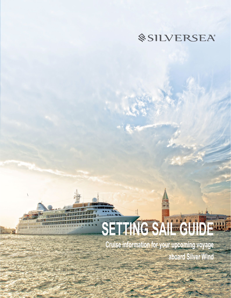# *<u>@SILVERSEA</u>*

# **Rang Time** SETT NG SAIL GUIDE

 $\setminus$ 

**Cruise information for your upcoming voyage aboard Silver Wind**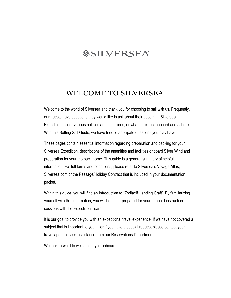# *<u>SILVERSEA®</u>*

### WELCOME TO SILVERSEA

Welcome to the world of Silversea and thank you for choosing to sail with us. Frequently, our guests have questions they would like to ask about their upcoming Silversea Expedition, about various policies and guidelines, or what to expect onboard and ashore. With this Setting Sail Guide, we have tried to anticipate questions you may have.

These pages contain essential information regarding preparation and packing for your Silversea Expedition, descriptions of the amenities and facilities onboard Silver Wind and preparation for your trip back home. This guide is a general summary of helpful information. For full terms and conditions, please refer to Silversea's Voyage Atlas, Silversea.com or the Passage/Holiday Contract that is included in your documentation packet.

Within this guide, you will find an Introduction to "Zodiac<sup>®</sup> Landing Craft". By familiarizing yourself with this information, you will be better prepared for your onboard instruction sessions with the Expedition Team.

It is our goal to provide you with an exceptional travel experience. If we have not covered a subject that is important to you — or if you have a special request please contact your travel agent or seek assistance from our Reservations Department

We look forward to welcoming you onboard.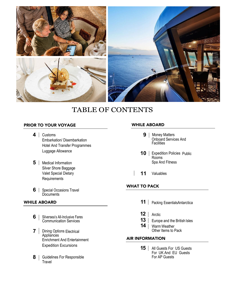

## TABLE OF CONTENTS

#### PRIOR TO YOUR VOYAGE

- **4** Customs Embarkation/ Disembarkation Hotel And Transfer Programmes Luggage Allowance
- **5** | Medical [Information](#page-4-0) [Silver Shore Baggage](#page-4-0)  [Valet](#page-4-0) [Special](#page-4-0) Dietary [Requirements](#page-4-0)
- **6** | Special Occasions Travel **Documents**

#### WHILE ABOARD

- **6** | Silversea's All-Inclusive Fares Communication Services
- **7** | Dining Options Electrical **Appliances** Enrichment And Entertainment Expedition Excursions
- **8** | Guidelines For [Responsible](#page-8-0) **[Travel](#page-8-0)**

#### WHILE ABOARD

- **9** | Money Matters Onboard Services And Facilities
- **10** Expedition Policies Public Rooms Spa And Fitness
- **11** [Valuables](#page-11-0)

#### WHAT TO PACK

- 11 | Packing [EssentialsAntarctica](#page-11-0)
- **12** | Arctic
- **13** Europe [and the British Isles](#page-14-0)
- 14 | Warm Weather Other Items to Pack

#### AIR INFORMATION

**15** All Guests For US Guests For UK And EU Guests For AP Guests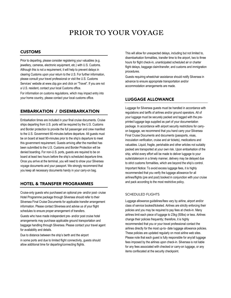# PRIOR TO YOUR VOYAGE

#### CUSTOMS

Prior to departing, please consider registering your valuables (e.g. jewellery, cameras, electronic equipment, etc.) with U.S. Customs. Although this is not a requirement, it will help to prevent delays in clearing Customs upon your return to the U.S. For further information, please consult your travel professional or visit the U.S. Customs Services' website at www.cbp.gov and click on "Travel". If you are not a U.S. resident, contact your local Customs office.

For information on customs regulations, which may impact entry into your home country, please contact your local customs office.

#### EMBARKATION / DISEMBARKATION

Embarkation times are included in your final cruise documents. Cruise ships departing from U.S. ports will be required by the U.S. Customs and Border protection to provide the full passenger and crew manifest to the U.S. Government 60-minutes before departure. All guests must be on board at least 90-minutes prior to the ship's departure to meet this government requirement. Guests arriving after the manifest has been submitted to the U.S. Customs and Border Protection will be denied boarding. For non-U.S. ports, guests are required to be on board at least two hours before the ship's scheduled departure time. Once you arrive at the terminal, you will need to show your Silversea voyage documents and your passport. We strongly recommend that you keep all necessary documents handy in your carry-on bag.

#### HOTEL & TRANSFER PROGRAMMES

Cruise-only guests who purchased an optional pre- and/or post- cruise Hotel Programme package through Silversea should refer to their Silversea Final Cruise Documents for applicable transfer arrangement information. Please contact Silversea and advise us of your flight schedules to ensure proper arrangement of transfers.

Guests who have made independent pre- and/or post cruise hotel arrangements may purchase applicable ground transportation and baggage handling through Silversea. Please contact your travel agent for availability and details.

Due to distance between the ship's berth and the airport

in some ports and due to limited flight connectivity, guests should allow additional time for departing/connecting flights.

This will allow for unexpected delays, including but not limited to, disembarkation formalities, transfer time to the airport, two to three hours for flight check-in, unanticipated scheduled air or charter flight delays, baggage claim/transfer, and customs and immigration procedures.

Guests requiring wheelchair assistance should notify Silversea in advance to ensure appropriate transportation and/or accommodation arrangements are made.

#### LUGGAGE ALLOWANCE

Luggage for Silversea guests must be handled in accordance with regulations and tariffs of airlines and/or ground operators. All of your luggage must be securely packed and tagged with the preprinted luggage tags supplied as part of your documentation package. In accordance with airport security restrictions for carryon baggage, we recommend that you hand carry your Silversea Final Cruise Documents and documents (passports, visas, inoculation verification, cruise and air tickets), medications and valuables. Liquid, fragile, perishable and other articles not suitably packed are transported at your own risk. Upon embarkation of the ship, whilst every effort will be made to deliver luggage to your suite/stateroom in a timely manner, delivery may be delayed due to strict customs formalities, which are beyond the ship's control. Important Notice: To avoid excess luggage fees, it is highly recommended that you verify the luggage allowance for all airlines/flights (pre and post) booked in conjunction with your cruise and pack according to the most restrictive policy.

#### SCHEDULED FLIGHTS

Luggage allowance guidelines/fees vary by airline, airport and/or class of service booked/ticketed. Airlines are strictly enforcing their policies and you may be required to pay fees at check-in. Many airlines limit each piece of luggage to 23kg (50lbs) or less. Airlines change their policies frequently; therefore, it is highly recommended that you or your travel professional contact the airlines directly for the most up-to- date luggage allowance policies. These policies are updated regularly on most airline web sites. Please note that each guest is fully responsible for any/all luggage fees imposed by the airlines upon check-in. Silversea is not liable for any fees associated with checked or carry-on luggage, or any items confiscated at the security checkpoint.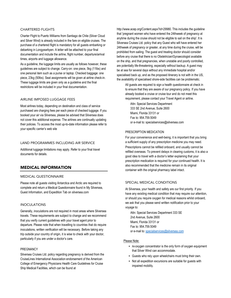#### CHARTERED FLIGHTS

Charter Flight to Puerto Williams from Santiago de Chile (Silver Cloud and Silver Wind) is already included in the fare on eligible cruises. The purchase of a chartered flight is mandatory for all guests embarking or debarking in Longyearbyen. A letter will be attached to your final documentation and include the airline, flight number, departure/arrival times, airports and luggage allowance.

As a guideline, the luggage limits are usually as follows however, these guidelines are subject to change. Carry-on: one piece, 5kg (11lbs) and one personal item such as a purse or laptop. Checked baggage: one piece, 23kg (50lbs). Seat assignments will be given at airline check-in. These luggage limits are given only as a guideline and the final restrictions will be included in your final documentation.

#### AIRLINE IMPOSED LUGGAGE FEES

Most airlines today, depending on destination and class of service purchased are charging fees per each piece of checked luggage. If you booked your air via Silversea, please be advised that Silversea does not cover this additional expense. The airlines are continually updating their policies. To access the most up-to-date information please refer to your specific carrier's web site

#### LAND PROGRAMMES INCLUDING AIR SERVICE

Additional luggage limitations may apply. Refer to your final travel documents for details.

#### <span id="page-4-0"></span>MEDICAL INFORMATION

#### MEDICAL QUESTIONNAIRE

Please note all guests visiting Antarctica and Arctic are required to complete and return a Medical Questionnaire found in My Silversea, Guest Information, and Expedition Tab on silversea.com

#### INOCULATIONS

Generally, inoculations are not required in most areas where Silversea travels. These requirements are subject to change and we recommend that you verify current guidelines with your travel agent prior to departure. Please note that when travelling to countries that do require inoculations, written verification will be necessary. Before taking any trip outside your country of origin, it is wise to check with your doctor, particularly if you are under a doctor's care.

#### PREGNANCY

Silversea Cruises Ltd. policy regarding pregnancy is derived from the CruiseLines International Association endorsement of the American College of Emergency Physicians Health Care Guidelines for Cruise Ship Medical Facilities, which can be found at

http://www.acep.org/Content.aspx?id=29980. This includes the guideline that 'pregnant women who have entered the 24thweek of pregnancy at anytime during the cruise should not be eligible to sail on the ship'. It is Silversea Cruises Ltd. policy that any Guest who will have entered her 24thweek of pregnancy or greater, at any time during the cruise, will be prohibited from sailing. The guest and treating doctor should consider before any cruise that there is no Obstetrician/Gynaecologist available on the ship, and that pregnancies, when unstable and poorly controlled, are potentially life-threatening, especially without backup. A guest may be at sea for several days without any immediate hospital and/or specialised back up, and as the proposed itinerary is not with in the US, the availability of specialised shore-side facilities can be problematic.

All guests are required to sign a health questionnaire at check in to ensure that they are aware of our pregnancy policy. If you have already booked a cruise or cruise tour and do not meet this requirement, please contact your Travel Agent or airline.

Attn: Special Services Department 333 SE 2nd Avenue, Suite 2600 Miami, Florida 33131 or Fax to: 954.759.5049 or e-mail to: specialservices@silversea.com

#### PRESCRIPTION MEDICATION

For your convenience and well-being, it is important that you bring a sufficient supply of any prescription medicine you may need.

Prescriptions cannot be refilled onboard, and usually cannot be refilled overseas. To prevent delays in clearing customs, it is also a good idea to travel with a doctor's letter explaining that your prescription medication is required for your continued health. It is also recommended that the medicine remain in its original container with the original pharmacy label intact.

#### SPECIAL MEDICAL CONDITIONS

At Silversea, your health and safety are our first priority. If you have any existing medical condition that may require our attention, or should you require oxygen for medical reasons whilst onboard, we ask that you please send written notification prior to your voyage to:

Attn: Special Services Department 333 SE 2nd Avenue, Suite 2600 Miami, Florida 33131 or Fax to: 954.759.5049 or e-mail to[: specialservices@silversea.com](mailto:specialservices@silversea.com)

#### Please Note:

- An oxygen concentrator is the only form of oxygen equipment that Silver Wind can accommodate.
- Guests who rely upon wheelchairs must bring their own.
- Not all expedition excursions are suitable for guests with impaired mobility.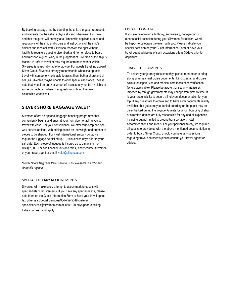By booking passage and by boarding the ship, the guest represents and warrants that he / she is physically and otherwise fit to travel, and that the guest will comply at all times with applicable rules and regulations of the ship and orders and instructions of the ship's officers and medical staff. Silversea reserves the right without liability to require a guest to disembark and / or to refuse to board and transport a guest who, in the judgment of Silversea or the ship is Master, is unfit to travel or may require care beyond that which Silversea is reasonably able to provide. For guests travelling aboard Silver Cloud, Silversea strongly recommends wheelchair guests travel with someone who is able to assist them both a shore and at sea ,as Silversea maybe unable to offer special assistance. Please note that wheel-on and / or wheel-off access may not be available at some ports-of-call. Wheelchair guests must bring their own collapsible wheelchair

#### SILVER SHORE BAGGAGE VALET\*

Silversea offers an optional baggage-handling programme that conveniently begins and ends at your front door, enabling you to travel with ease. For your convenience, we offer round-trip and oneway service options, with pricing based on the weight and number of pieces to be shipped. For most international embark ports, we require the luggage be picked up 10-14business days prior to your sail date. Each piece of luggage is insured up to a maximum of USD\$2,000. For additional details and fares, kindly contact Silversea or your travel agent or email[: valet@silversea.com](mailto:valet@silversea.com) 

\**Silver Shore Baggage Valet service is not available in Arctic and Antarctic regions.*

#### SPECIAL DIETARY REQUIREMENTS

Silversea will make every attempt to accommodate guests with special dietary requirements. If you have any special needs, please note them on the Guest Information Form or have your travel agent fax Silversea Special Services(954-759-5049)orellmail: specialservices@silversea.com at least 120 days prior to sailing.

Extra charges might apply

#### SPECIAL OCCASIONS

If you are celebrating a birthday, anniversary, honeymoon or other special occasion during your Silversea Expedition, we will be happy to celebrate the event with you. Please indicate your special occasion on your Guest Information Form or have your travel agent advise us of such occasions atleast30days prior to departure

#### TRAVEL DOCUMENTS

To ensure your journey runs smoothly, please remember to bring along Silversea final cruise documents. It includes air and cruise tickets, passport, visa and medical card inoculation verification (where applicable). Please be aware that security measures imposed by foreign governments may change from time to time. It is your responsibility to secure all relevant documentation for your trip. If any guest fails to obtain and to have such documents readily available, that guest maybe denied boarding or the guest may be disembarked during the voyage. Guests for whom boarding of ship or aircraft is denied are fully responsible for any and all expenses, including but not limited to ground transportation, hotel accommodations and meals. For your personal safety, we required all guests to provide us with the above mentioned documentation in order to board Silver Cloud. Should you have any questions regarding travel documents please consult your travel agent for advice.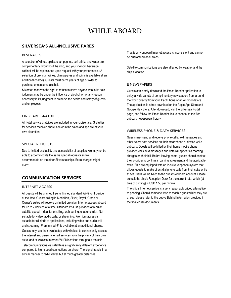# WHILE ABOARD

#### SILVERSEA'S ALL-INCLUSIVE FARES

#### BEVERAGES

A selection of wines, spirits, champagnes, soft drinks and water are complimentary throughout the ship, and your in-room beverage cabinet will be replenished upon request with your preferences. (A selection of premium wines, champagnes and spirits is available at an additional charge). Guests must be 21 years of age or older to purchase or consume alcohol.

Silversea reserves the right to refuse to serve anyone who in its sole judgment may be under the influence of alcohol, or for any reason necessary in its judgment to preserve the health and safety of guests and employees.

#### ONBOARD GRATUITIES

All hotel service gratuities are included in your cruise fare. Gratuities for services received shore side or in the salon and spa are at your own discretion.

#### SPECIAL REQUESTS

Due to limited availability and accessibility of supplies, we may not be able to accommodate the same special requests as we accommodate on the other Silversea ships. Extra charges might apply.

#### COMMUNICATION SERVICES

#### INTERNET ACCESS

All guests will be granted free, unlimited standard Wi-Fi for 1 device at the time. Guests sailing in Medallion, Silver, Royal, Grand or Owner's suites will receive unlimited premium Internet access aboard for up to 2 devices at a time. Standard Wi-Fi is provided at regular satellite speed – ideal for emailing, web surfing, chat or similar. Not suitable for video, audio calls, or streaming. Premium access is suitable for all kinds of applications, including video and audio call and streaming. Premium WI-FI is available at an additional charge. Guests may use their own laptop with wireless to conveniently access

the Internet and personal email services from the privacy of their own suite, and at wireless Internet (Wi-Fi) locations throughout the ship.

Telecommunications via satellite is a significantly different experience compared to high-speed connections on shore. The signal travels in a similar manner to radio waves but at much greater distances.

That is why onboard Internet access is inconsistent and cannot be guaranteed at all times.

Satellite communications are also affected by weather and the ship's location.

#### E NEWSPAPERS

Guests can simply download the Press Reader application to enjoy a wide variety of complimentary newspapers from around the world directly from your iPad/iPhone or an Android device. The application is a free download on the Apple App Store and Google Play Store. After download, visit the Silversea Portal page, and follow the Press Reader link to connect to the free onboard newspapers library

#### WIRELESS PHONE & DATA SERVICES

Guests may send and receive phone calls, text messages and other select data services on their smartphone or device while onboard. Guests will be billed by their home mobile phone provider, calls, text messages and data will appear as roaming charges on their bill. Before leaving home, guests should contact their provider to confirm a roaming agreement and the applicable rates. Ship are equipped with an in-suite telephone system that allows guests to make direct-dial phone calls from their suite while at sea. Calls will be billed to the guest's onboard account. Please consult the ship's Reception Desk for the current rate, which (at time of printing) is USD 1.50 per minute.

The ship's Internet service is a very reasonably priced alternative to phoning. Should someone wish to reach a guest whilst they are at sea, please refer to the Leave Behind Information provided in the final cruise documents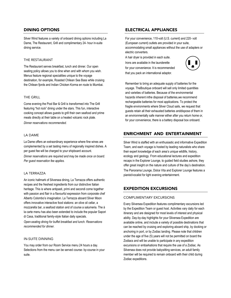#### DINING OPTIONS

Silver Wind features a variety of onboard dining options including La Dame, The Restaurant, Grill and complimentary 24- hour in-suite dining service.

#### THE RESTAURANT

The Restaurant serves breakfast, lunch and dinner. Our open seating policy allows you to dine when and with whom you wish. Menus feature regional specialities unique to the voyage destination, for example, Roasted Chilean Sea Bass while cruising the Chilean fjords and Indian Chicken Korma en route to Mumbai.

#### THE GRILL

Come evening the Pool Bar & Grill is transformed into The Grill featuring "hot rock" dining under the stars. This fun, interactive cooking concept allows guests to grill their own seafood and prime meats directly at their table on a heated volcanic rock plate. *Dinner reservations recommended.*

#### LA DAME

La Dame offers an extraordinary experience where fine wines are complemented by a set tasting menu of regionally inspired dishes. A per guest fee will be charged to your shipboard account.

*Dinner reservations are required and may be made once on board*. *Per guest reservation fee applies.*

#### LA TERRAZZA

An iconic hallmark of Silversea dining, La Terrazza offers authentic recipes and the freshest ingredients from our distinctive Italian heritage. This is where antipasti, primi and secondi come together with passion and flair in a flavourful expression from corporate chef Alberto Colombo's imagination. La Terrazza aboard Silver Moon offers innovative interactive food stations: an olive oil cellar, a mozzarella bar, a seafood station and of course a salumeria. The à la carte menu has also been extended to include the popular Sapori di Casa, traditional family-style Italian daily specials.

*Open-seating dining for buffet breakfast and lunch. Reservations recommended for dinner.*

#### IN-SUITE DINNING

You may order from our Room Service menu 24 hours a day. Selections from the menu can be served course- by-course in your suite.

#### ELECTRICAL APPLIANCES

For your convenience, 110-volt (U.S. current) and 220- volt (European current) outlets are provided in your suite, accommodating small appliances without the use of adapters or electric converters.

A hair dryer is provided in each suite. Irons are available in the launderette for your convenience. It is recommended that you pack an international adaptor.



Remember to bring an adequate supply of batteries for the voyage. TheBoutique onboard will sell only limited quantities and varieties of batteries. Because of the environmental hazards inherent inthe disposal of batteries,we recommend rechargeable batteries for most applications. To protect the fragile environments where Silver Cloud sails, we request that guests retain all their exhausted batteries anddispose of them in an environmentally safe manner either after you return home or, for your convenience, there is a battery disposal box onboard.

#### ENRICHMENT AND ENTERTAINMENT

Silver Wind is staffed with an enthusiastic and informative Expedition Team, and each voyage is hosted by leading naturalists who share their expert knowledge of each area's unique wildlife, history, ecology and geology. From educational lectures and expedition recaps in the Explorer Lounge, to guided field studies ashore, they offer great insight on the nature and culture of the day's destination. The Panorama Lounge, Dolce Vita and Explorer Lounge features a pianist/vocalist for light evening entertainment.

#### EXPEDITION EXCURSIONS

#### COMPLIMENTARY EXCURSIONS

Every Silversea Expedition features complimentary excursions led by the Expedition Team or guest host. Activities vary daily for each itinerary and are designed for most levels of interest and physical ability. Day-by-day highlights for your Silversea Expedition are available online, and include a variety of possible destinations that can be reached by cruising and exploring aboard ship, by docking or anchoring in port, or by Zodiac landing. Please note that children under the age of five (5) years will not be permitted on board the Zodiacs and will be unable to participate in any expedition excursions or embarkations that require the use of a Zodiac. As Silversea does not provide babysitting services, an adult family member will be required to remain onboard with their child during Zodiac expeditions.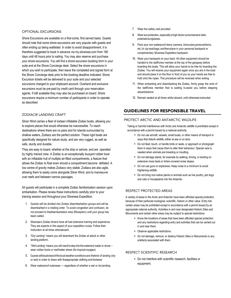#### OPTIONAL EXCURSIONS

Shore Excursions are available on a first-come, first served basis. Guests should note that some shore excursions are very popular with guests and often ending up being waitlisted. In order to avoid disappointment, it is therefore suggested to book in advance via my.silversea.com from 180 days until 48 hours prior to sailing. You may also reserve and purchase your shore excursions. You will find a shore excursion booking form in your suite and at the Shore Concierge desk. Select the shore excursions in which you wish to participate, then leave the completed and signed form at the Shore Concierge desk prior to the booking deadline indicated. Shore Excursion tickets will be delivered to your suite and your selected excursions charged to your shipboard account. Overland and exclusive excursions must be pre-paid by credit card through your reservation agents. If still available they may also be purchased on board. Shore excursions require a minimum number of participants in order to operate as described

#### ZODIAC® LANDING CRAFT

Silver Wind carries a fleet of sixteen inflatable Zodiac boats, allowing you to explore places that would otherwise be inaccessible. To reach destinations where there are no piers and for islands surrounded by shallow waters, Zodiacs are the perfect solution. These rigid boats are specifically designed for nature study, and are very rugged, as well as safe, sturdy and durable.

<span id="page-8-0"></span>They are easy to board, whether at the ship or ashore, and are operated by highly trained crew. A Zodiac is an exceptionally buoyant rubber boat with an inflatable hull of multiple air-filled compartments, a feature that allows the Zodiac to float even should a compartment become deflated. A low centre of gravity makes Zodiacs very stable. Zodiacs are also agile, allowing them to easily come alongside Silver Wind, and to manoeuvre over reefs and between narrow passages.

All guests will participate in a complete Zodiac familiarisation session upon embarkation. Please review these instructions carefully prior to your training session and throughout your Silversea Expedition.

- 1. Guests will be divided into Zodiac disembarkation groups and will be disembarked in a rotating order. To avoid congestion and confusion, do not proceed to thedisembarkation area (Reception) until your group has been called.
- 2. Silversea's Zodiac drivers have all had extensive training and experience. They are experts in this aspect of your expedition cruise. Follow their instruction at all times whenaboard.
- 3. "Dry Landing" means you will disembark the Zodiac at adock or other landing platform.
- 4. "Wet Landing" means you will need to step into the waterand wade to shore wear rubber boots or reef/water shoes (for tropical voyages).
- 5. Guestswillbeadvisedofthelocalweatherconditionsand thekind of landing (dry or wet) in order to dress with theappropriate clothing and footwear.
- 6. Wear waterproof outerwear regardless of whether a wet or dry landing.
- 7. Wear the safety vest provided.
- 8. Wear sunprotection, especially a high-factor sunscreenand dark, polarisedsunglasses.
- 9. Pack your non-waterproof items (camera, binoculars,personalitems, etc.)in zip-sealbags,andthenplace in your personal backpack or complimentary Silversea Expedition backpack.
- 10. Wear your backpack on your back. All other equipment should be handed to the staff/crew member at the top of the gangway before boarding the boats. This will allow your hands to be free for boarding the Zodiac. You will receive your equipment again once you are in the boat and should place it on the floor in front of you so your hands are free to hold onto the ropes. This procedure will be reversed when exiting.
- 11. When embarking and disembarking the Zodiac, firmly grasp the wrist of the staff/crew member that is waiting to assist you before stepping aboard/ashore.
- 12. Remain seated at all times whilst aboard, until otherwise instructed.

#### GUIDELINES FOR RESPONSIBLE TRAVEL

#### PROTECT ARCTIC AND ANTARCTIC WILDLIFE

Taking or harmful interference with Arctic and Antarctic wildlife is prohibited except in accordance with a permit issued by a national authority.

- Do not use aircraft, vessels, small boats, or other means of transport in ways that disturb wildlife, either at sea or on land.
- Do not feed, touch, or handle birds or seals, or approach or photograph them in ways that cause them to alter their behaviour. Special care is needed when animals are breeding or moulting.
- Do not damage plants, for example by walking, driving, or landing on extensive moss beds or lichen-covered scree slopes.
- Do not use guns or explosives. Keep noise to a minimum to avoid frightening wildlife.
- Do not bring non-native plants or animals such as live poultry, pet dogs and cats or houseplants into the Antarctic.

#### RESPECT PROTECTED AREAS

A variety of areas in the Arctic and Antarctic have been afforded special protection because of their particular ecological, scientific, historic or other value. Entry into certain areas may be prohibited except in accordance with a permit issued by an appropriate national authority. Activities in and near designated Historic Sites and Monuments and certain other areas may be subject to special restrictions.

- Know the locations of areas that have been afforded special protection and any restrictions regarding entry and activities that can be carried out in and near them.
- Observe applicable restrictions.
- Do not damage, remove, or destroy Historic Sites or Monuments or any artefacts associated with them.

#### RESPECT SCIENTIFIC RESEARCH

• Do not interfere with scientific research, facilities or equipment.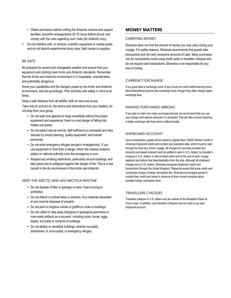- Obtain permission before visiting the Antarctic science and support facilities; reconfirm arrangements 24-72 hours before arrival; and comply with the rules regarding such visits (for Antarctic only).
- Do not interfere with, or remove, scientific equipment or marker posts, and do not disturb experimental study sites, field camps or supplies.

#### BE SAFE

Be prepared for severe and changeable weather and ensure that your equipment and clothing meet Arctic and Antarctic standards. Remember that the Arctic and Antarctic environment is in hospitable, unpredictable, and potentially dangerous.

Know your capabilities and the dangers posed by the Arctic and Antarctic environment, and act accordingly. Plan activities with safety in mind at all times.

Keep a safe distance from all wildlife, both on land and at sea.

Take note of, and act on, the advice and instructions from your leaders; do not stray from your group.

- Do not walk onto glaciers or large snowfields without the proper equipment and experience; there is a real danger of falling into hidden crevasses.
- Do not expect rescue service. Self-sufficiency is increased and risks reduced by sound planning, quality equipment, and trained personnel.
- Do not enter emergency refuges (except in emergencies). If you use equipment or food from a refuge, inform the nearest research station or national authority once the emergency is over.
- Respect any smoking restrictions, particularly around buildings, and take great care to safeguard against the danger of fire. This is a real hazard in the dry environment of the Arctic and Antarctic.

#### KEEP THE ARCTIC AND ANTARCTICA PRISTINE

- Do not dispose of litter or garbage on land. Open burning is prohibited.
- Do not disturb or pollute lakes or streams. Any materials discarded at sea must be disposed of properly.
- Do not paint or engrave names or graffiti on rocks or buildings.
- Do not collect or take away biological or geological specimens or man-made artifacts as a souvenir, including rocks, bones, eggs, fossils, and parts or contents of buildings.
- Do not deface or vandalize buildings, whether occupied, abandoned, or unoccupied, or emergency refuges.

#### MONEY MATTERS

#### CARRYING MONEY

Silversea does not limit the amount of money you may carry during your voyage. For safety reasons, Silversea recommends that guests take precautions and not carry excessive amounts of cash. Many purchases can be conveniently made using credit cards or travellers cheques and do not require cash transactions. Silversea is not responsible for any loss of money.

#### CURRENCY EXCHANGE

It is a good idea to exchange some of your funds at a bank before leaving home. Most international airports also exchange funds, though they often charge higher exchange fees.

#### MAKING PURCHASES ABROAD

If you plan to make any major purchases abroad, we recommend that you use your charge card ashore wherever it is accepted. This will often ensure receiving a better exchange rate than what is offered locally.

#### SHIPBOARD ACCOUNT

Upon embarkation, guests will be asked to register their VISA®, Master Card® or American Express® credit card number and expiration date, which must be valid through the final day of their voyage. All charges for services provided and products purchased onboard must be settled in cash in U.S. dollars, by traveller's cheques in U.S. dollars, or above listed credit card at the end of each voyage segment and before final disembarkation from the ship. Although all shipboard charges are in U.S. dollars, Silversea processes shipboard credit card transactions through the United Kingdom. Please be aware that some credit card companies charge a foreign transaction fee. Silversea encourages guests to contact their credit card issuer in advance of their cruise to enquire about possible foreign transaction fees.

#### TRAVELLERS CHEQUES

Travellers cheques in U.S. dollars may be cashed at the Reception Desk 24 hours a day. In addition, your traveler's cheques may be used to pay your shipboard account.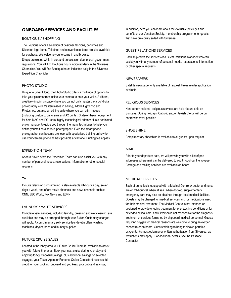#### ONBOARD SERVICES AND FACILITIES

#### BOUTIQUE / SHOPPING

The Boutique offers a selection of designer fashions, perfumes and Silversea logo items. Toiletries and convenience items are also available for purchase. We welcome you to come in and browse.

Shops are closed while in port and on occasion due to local government regulations. You will find Boutique hours indicated daily in the Silversea Chronicles. You will find Boutique hours indicated daily in the Silversea Expedition Chronicles.

#### PHOTO STUDIO

Unique to Silver Cloud, the Photo Studio offers a multitude of options to take your pictures from inside your camera to onto your walls. A vibrant, creatively inspiring space where you cannot only master the art of digital photography with Masterclasses in editing, Adobe Lightshop and Photoshop, but also an editing suite where you can print images (including postcard, panorama and A2 prints). State-of-the-art equipment for both MAC and PC users, highly technological printers plus a dedicated photo manager to guide you through the many techniques to help you define yourself as a serious photographer. Even the smart phone photographer can become pro level with specialised training on how to use your camera phone its best possible advantage. Printing fee applies.

#### EXPEDITION TEAM

Aboard *Silver Wind*, the Expedition Team can also assist you with any number of personal needs, reservations, information or other special requests.

#### TV

In-suite television programming is also available 24-hours a day, seven days a week, and offers movie channels and news channels such as CNN, BBC World, Fox News and ESPN.

#### LAUNDRY / VALET SERVICES

Complete valet services, including laundry, pressing and wet cleaning, are available and may be arranged through your Butler. Customary charges will apply. A complimentary self- service launderette offers washing machines, dryers, irons and laundry supplies.

#### FUTURE CRUISE SALES

Located in the lobby area, our Future Cruise Team is available to assist you with future itineraries. Book your next cruise during your stay and enjoy up to 5% Onboard Savings plus additional savings on selected voyages, your Travel Agent or Personal Cruise Consultant receives full credit for your booking onboard and you keep your onboard savings,

In addition, here you can learn about the exclusive privileges and benefits of our Venetian Society, membership programme for guests that have previously sailed with Silversea.

#### GUEST RELATIONS SERVICES

Each ship offers the services of a Guest Relations Manager who can assist you with any number of personal needs, reservations, information or other special requests.

#### **NEWSPAPERS**

Satellite newspaper only available of request. Press reader application available.

#### RELIGIOUS SERVICES

Non-denominational religious services are held aboard ship on Sundays. During holidays, Catholic and/or Jewish Clergy will be on board whenever possible.

#### SHOE SHINE

Complimentary shoeshine is available to all guests upon request.

#### MAIL

Prior to your departure date, we will provide you with a list of port addresses where mail can be delivered to you throughout the voyage. Postage and mailing services are available on board.

#### MEDICAL SERVICES

Each of our ships is equipped with a Medical Centre. A doctor and nurse are on 24-hour call when at sea. When docked, supplementary emergency care may also be obtained through local medical facilities. Guests may be charged for medical services and for medications used for their medical treatment. The Medical Centre is not intended or designed to provide ongoing treatment for pre- existing conditions or for extended critical care, and Silversea is not responsible for the diagnosis, treatment or services furnished by shipboard medical personnel. Guests requiring oxygen for medical reasons are welcome to bring an oxygen concentrator on board. Guests wishing to bring their own portable oxygen tanks must obtain prior written authorisation from Silversea, as restrictions may apply. (For additional details, see the Passage Contract.)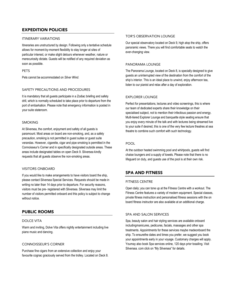#### EXPEDITION POLICIES

#### ITINERARY VARIATIONS

Itineraries are unstructured by design. Following only a tentative schedule allows for moment-by-moment flexibility to stay longer at sites of particular interest, or make slight detours whenever weather, nature or merecuriosity dictate. Guests will be notified of any required deviation as soon as possible.

#### PETS

Pets cannot be accommodated on *Silver Wind*.

#### SAFETY PRECAUTIONS AND PROCEDURES

It is mandatory that all guests participate in a Zodiac briefing and safety drill, which is normally scheduled to take place prior to departure from the port of embarkation. Please note that emergency information is posted in your suite stateroom.

#### SMOKING

At Silversea, the comfort, enjoyment and safety of all guests is paramount. Most areas on board are non-smoking, and, as a safety precaution, smoking is not permitted in guest suites or guest suite verandas. However, cigarette, cigar and pipe smoking is permitted in the Connoisseur's Corner and in specifically designated outside areas. These areas include designated tables on open Deck 9. Silversea kindly requests that all guests observe the non-smoking areas.

#### VISITORS ONBOARD

If you would like to make arrangements to have visitors board the ship, please contact Silversea Special Services. Requests should be made in writing no later than 14 days prior to departure. For security reasons, visitors must be pre- registered with Silversea. Silversea may limit the number of visitors permitted onboard and this policy is subject to change without notice.

#### PUBLIC ROOMS

#### DOLCE VITA

Warm and inviting, Dolve Vita offers nightly entertainment including live piano music and dancing.

#### CONNOISSEUR'S CORNER

Purchase fine cigars from an extensive collection and enjoy your favourite cognac graciously served from the trolley. Located on Deck 8.

#### TOR'S OBSERVATION LOUNGE

Our special observatory located on Deck 9, high atop the ship, offers panoramic views. There you will find comfortable seats to watch the ever-changing view.

#### PANORAMA LOUNGE

The Panorama Lounge, located on Deck 8, is specially designed to give guests an uninterrupted view of the destination from the comfort of the ship's interior. This is an ideal place to unwind, enjoy afternoon tea, listen to our pianist and relax after a day of exploration.

#### <span id="page-11-0"></span>EXPLORER LOUNGE

Perfect for presentations, lectures and video screenings, this is where our team of dedicated experts share their knowledge on their specialised subject, not to mention their infectious passion and energy. Multi-tiered Explorer Lounge and banquette style seating ensure that you enjoy every minute of the talk and with lectures being streamed live to your suite if desired, this is one of the very few lecture theatres at sea theatre to combine such comfort with such technology.

#### POOL

At the outdoor heated swimming pool and whirlpools, guests will find chaise loungers and a supply of towels. Please note that there is no lifeguard on duty, and guests use of the pool is at their own risk.

#### SPA AND FITNESS

#### FITNESS CENTRE

Open daily; you can tone up at the Fitness Centre with a workout. The Fitness Centre features a variety of modern equipment. Special classes, private fitness instruction and personalised fitness sessions with the on board fitness instructor are also available at an additional charge.

#### SPA AND SALON SERVICES

Spa, beauty salon and hair styling services are available onboard includingmanicures, pedicures, facials, massages and other spa treatments. Appointments for these services maybe madeonboard the ship. To ensurethe dates and times you prefer, we suggest you book your appointments early in your voyage. Customary charges will apply. Youmay also book Spa services online, 120 days prior tosailing. Visit [Silversea. com](http://silversea.com/) click on "My Silversea" for details.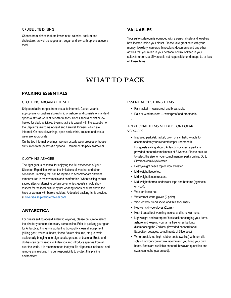#### CRUISE LITE DINING

Choose from dishes that are lower in fat, calories, sodium and cholesterol, as well as vegetarian, vegan and low-carb options at every meal.

#### VALUABLES

Your suite/stateroom is equipped with a personal safe and jewellery box, located inside your closet. Please take great care with your money, jewellery, cameras, binoculars, documents and any other articles that you retain in your personal control or keep in your suite/stateroom, as Silversea is not responsible for damage to, or loss of, these items

# WHAT TO PACK

#### PACKING ESSENTIALS

#### CLOTHING ABOARD THE SHIP

Shipboard attire ranges from casual to informal. Casual wear is appropriate for daytime aboard ship or ashore, and consists of standard sports outfits as worn at five-star resorts. Shoes should be flat or low heeled for deck activities. Evening attire is casual with the exception of the Captain's Welcome Aboard and Farewell Dinners, which are informal. On casual evenings, open-neck shirts, trousers and casual wear are appropriate.

On the two informal evenings, women usually wear dresses or trouser suits; men wear jackets (tie optional). Remember to pack swimwear.

#### CLOTHING ASHORE

The right gear is essential for enjoying the full experience of your Silversea Expedition without the limitations of weather and other conditions. Clothing that can be layered to accommodate different temperatures is most versatile and comfortable. When visiting certain sacred sites or attending certain ceremonies, guests should show respect for the local culture by not wearing shorts or skirts above the knee or women with bare shoulders. A detailed packing list is provided at silversea.shiptoshoretraveler.com

#### ANTARCTICA

For guests sailing aboard Antarctic voyages, please be sure to select the size for your complimentary parka online. Prior to packing your gear for Antarctica, it is very important to thoroughly clean all equipment (hiking gear, trousers, boots, fleece, Velcro closures, etc.) to avoid accidentally bringing in foreign seeds, grasses or bacteria. Boots and clothes can carry seeds to Antarctica and introduce species from all over the world. It is recommended that you flip all pockets inside out and remove any residue. It is our responsibility to protect this pristine environment.

#### ESSENTIAL CLOTHING ITEMS

- Rain jacket waterproof and breathable.
- Rain or wind trousers waterproof and breathable.
- •

#### ADDITIONAL ITEMS NEEDED FOR POLAR VOYAGES

- Insulated parka/ski jacket, down or synthetic able to accommodate your sweater/jumper underneath. For guests sailing aboard Antarctic voyages, a parka is provided onboard compliments of Silversea. Please be sure to select the size for your complimentary parka online. Go to Silversea.com/MySilversea
- Heavyweight fleece top or wool sweater.
- Mid-weight fleece top.
- Mid-weight fleece trousers.
- Mid-weight thermal underwear tops and bottoms (synthetic or wool).
- Wool or fleece hat.
- Waterproof warm gloves (2 pairs).
- Wool or wool blend socks and thin sock liners.
- Heavier, ski-type gloves (2pairs).
- Heat-treated foot warming insoles and hand warmers.
- Lightweight and waterproof backpack for carrying your items ashore and keeping your arms free for embarking/ disembarking the Zodiacs. (Provided onboard for all Expedition voyages, compliments of Silversea.)
- Waterproof, knee-high, rubber boots (wellies) with non-slip soles (For your comfort we recommend you bring your own boots. Boots are available onboard, however, quantities and sizes cannot be guaranteed).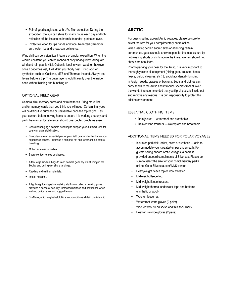- Pair of good sunglasses with U.V. filter protection. During the expedition, the sun can shine for many hours each day and light reflection off the ice can be harmful to under- protected eyes.
- Protective lotion for lips hands and face. Reflected glare from sun, water, ice and snow, can be intense.

Wind chill can be a significant feature of a polar expedition. When the wind is constant, you can be robbed of body heat quickly. Adequate wind and rain gear is vital. Cotton is ideal in warm weather; however, once it becomes wet, it will drain your body heat. Bring wool or synthetics such as Capilene, MTS and Thermax instead. Always test layers before a trip. The outer layer should fit easily over the inside ones without binding and bunching up.

#### OPTIONAL FIELD GEAR

Camera, film, memory cards and extra batteries. Bring more film and/or memory cards than you think you will need. Certain film types will be difficult to purchase or unavailable once the trip begins. Test your camera before leaving home to ensure it is working properly, and pack the manual for reference, should unexpected problems arise.

- Consider bringing a camera beanbag to support your 300mm+ lens for your camera's stabilisation.
- Binoculars are an essential part of your field gear and will enhance your experience ashore. Purchase a compact set and test them out before travelling.
- Motion sickness remedies.
- Spare contact lenses or glasses.
- A few large zip-seal bags to keep camera gear dry whilst riding in the Zodiac and during wet shore landings.
- Reading and writing materials.
- Insect repellent.
- A lightweight, collapsible, walking staff (also called a trekking pole) provides a sense of security, increased balance and confidence when walking on ice, snow and rugged terrain.
- Ski-Mask, which may be helpful in snowy conditions while in the Antarctic.

#### ARCTIC

For guests sailing aboard Arctic voyages, please be sure to select the size for your complimentary parka online.

When visiting certain sacred sites or attending certain ceremonies, guests should show respect for the local culture by not wearing shorts or skirts above the knee. Women should not show bare shoulders.

Prior to packing your gear for the Arctic, it is very important to thoroughly clean all equipment (hiking gear, trousers, boots, fleece, Velcro closures, etc.) to avoid accidentally bringing in foreign seeds, grasses or bacteria. Boots and clothes can carry seeds to the Arctic and introduce species from all over the world. It is recommended that you flip all pockets inside out and remove any residue. It is our responsibility to protect this pristine environment.

#### ESSENTIAL CLOTHING ITEMS

- Rain jacket waterproof and breathable.
- Rain or wind trousers waterproof and breathable.

#### ADDITIONAL ITEMS NEEDED FOR POLAR VOYAGES

- Insulated parka/ski jacket, down or synthetic able to accommodate your sweater/jumper underneath. For guests sailing aboard Arctic voyages, a parka is provided onboard compliments of Silversea. Please be sure to select the size for your complimentary parka online. Go to Silversea.com/ MySilversea
- Heavyweight fleece top or wool sweater.
- Mid-weight fleece top.
- Mid-weight fleece trousers.
- Mid-weight thermal underwear tops and bottoms (synthetic or wool).
- Wool or fleece hat.
- Waterproof warm gloves (2 pairs).
- Wool or wool blend socks and thin sock liners.
- Heavier, ski-type gloves (2 pairs).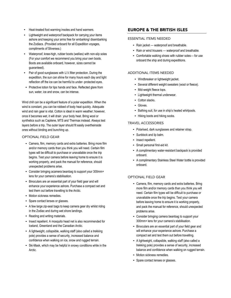- Heat-treated foot warming insoles and hand warmers.
- Lightweight and waterproof backpack for carrying your items ashore and keeping your arms free for embarking/ disembarking the Zodiacs. (Provided onboard for all Expedition voyages, compliments of Silversea.)
- <span id="page-14-0"></span>• Waterproof, knee-high, rubber boots (wellies) with non-slip soles (For your comfort we recommend you bring your own boots. Boots are available onboard, however, sizes cannot be quaranteed).
- Pair of good sunglasses with U.V. filter protection. During the expedition, the sun can shine for many hours each day and light reflection off the ice can be harmful to under- protected eyes.
- Protective lotion for lips hands and face. Reflected glare from sun, water, ice and snow, can be intense.

Wind chill can be a significant feature of a polar expedition. When the wind is constant, you can be robbed of body heat quickly. Adequate wind and rain gear is vital. Cotton is ideal in warm weather; however, once it becomes wet, it will drain your body heat. Bring wool or synthetics such as Capilene, MTS and Thermax instead. Always test layers before a trip. The outer layer should fit easily overtheinside ones without binding and bunching up.

#### OPTIONAL FIELD GEAR

- Camera, film, memory cards and extra batteries. Bring more film and/or memory cards than you think you will need. Certain film types will be difficult to purchase or unavailable once the trip begins. Test your camera before leaving home to ensure it is working properly, and pack the manual for reference, should unexpected problems arise.
- Consider bringing acamera beanbag to support your 300mm+ lens for your camera's stabilisation.
- Binoculars are an essential part of your field gear and will enhance your experience ashore. Purchase a compact set and test them out before travelling to the Arctic.
- Motion sickness remedies.
- Spare contact lenses or glasses.
- A few large zip-seal bags to keep camera gear dry whilst riding in the Zodiac and during wet shore landings.
- Reading and writing materials.
- Insect repellent. A mosquito head net is also recommended for Iceland, Greenland and the Canadian Arctic.
- A lightweight, collapsible, walking staff (also called a trekking pole) provides a sense of security, increased balance and confidence when walking on ice, snow and rugged terrain.
- Ski-Mask, which may be helpful in snowy conditions while in the Arctic.

#### EUROPE & THE BRITISH ISLES

#### ESSENTIAL ITEMS NEEDED

- Rain jacket waterproof and breathable.
- Rain or wind trousers waterproof and breathable.
- Comfortable walking shoes with rubber soles— for use onboard the ship and during expeditions.

#### ADDITIONAL ITEMS NEEDED

- Windbreaker or lightweight jacket.
- Several different weight sweaters (wool or fleece).
- Mid-weight fleece tops.
- Lightweight thermal underwear.
- Cotton slacks.
- Gloves.
- Bathing suit, for use in ship's heated whirlpools.
- Hiking boots and hiking socks.

#### TRAVEL ACCESSORIES

- Polarised, dark sunglasses and retainer strap.
- Sunblock and lip balm.
- Insect repellent.
- Small personal first-aid kit.
- A complimentary water-resistant backpack is provided onboard.
- A complimentary Stainless Steel Water bottle is provided onboard.

#### OPTIONAL FIELD GEAR

- Camera, film, memory cards and extra batteries. Bring more film and/or memory cards than you think you will need. Certain film types will be difficult to purchase or unavailable once the trip begins. Test your camera before leaving home to ensure it is working properly, and pack the manual for reference, should unexpected problems arise.
- Consider bringing camera beanbag to support your 300mm+ lens for your camera's stabilisation.
- Binoculars are an essential part of your field gear and will enhance your experience ashore. Purchase a compact set and test them out before travelling.
- A lightweight, collapsible, walking staff (also called a trekking pole) provides a sense of security, increased balance and confidence when walking on rugged terrain.
- Motion sickness remedies.
- Spare contact lenses or glasses.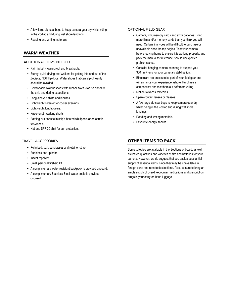- A few large zip-seal bags to keep camera gear dry whilst riding in the Zodiac and during wet shore landings.
- Reading and writing materials

#### WARM WEATHER

#### ADDITIONAL ITEMS NEEDED

- Rain jacket waterproof and breathable.
- Sturdy, quick-drying reef walkers for getting into and out of the Zodiacs, NOT flip-flops. Water shoes that can slip off easily should be avoided.
- Comfortable walkingshoes with rubber soles –foruse onboard the ship and during expeditions.
- Long-sleeved shirts and blouses.
- Lightweight sweater for cooler evenings.
- Lightweight longtrousers.
- Knee-length walking shorts.
- Bathing suit, for use in ship's heated whirlpools or on certain excursions.
- Hat and SPF 30 shirt for sun protection.

#### TRAVEL ACCESSORIES

- Polarised, dark sunglasses and retainer strap.
- Sunblock and lip balm.
- Insect repellent.
- Small personal first-aid kit.
- A complimentary water-resistant backpack is provided onboard.
- A complimentary Stainless Steel Water bottle is provided onboard.

#### OPTIONAL FIELD GEAR

- Camera, film, memory cards and extra batteries. Bring more film and/or memory cards than you think you will need. Certain film types will be difficult to purchase or unavailable once the trip begins. Test your camera before leaving home to ensure it is working properly, and pack the manual for reference, should unexpected problems arise.
- Consider bringing camera beanbag to support your 300mm+ lens for your camera's stabilisation.
- Binoculars are an essential part of your field gear and will enhance your experience ashore. Purchase a compact set and test them out before travelling.
- Motion sickness remedies.
- Spare contact lenses or glasses.
- A few large zip-seal bags to keep camera gear dry whilst riding in the Zodiac and during wet shore landings.
- Reading and writing materials.
- Favourite energy snacks.

#### OTHER ITEMS TO PACK

Some toiletries are available in the Boutique onboard, as well as limited quantities and varieties of film and batteries for your camera. However, we do suggest that you pack a substantial supply of essential items, since they may be unavailable in foreign ports and remote destinations. Also, be sure to bring an ample supply of over-the-counter medications and prescription drugs in your carry-on hand luggage